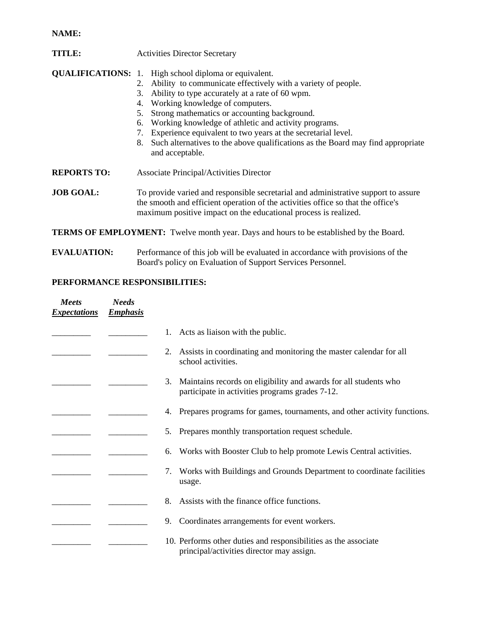## **NAME:**

| TITLE: | <b>Activities Director Secretary</b> |
|--------|--------------------------------------|
|--------|--------------------------------------|

**QUALIFICATIONS:** 1. High school diploma or equivalent.

- 2. Ability to communicate effectively with a variety of people.
- 3. Ability to type accurately at a rate of 60 wpm.
- 4. Working knowledge of computers.
- 5. Strong mathematics or accounting background.
- 6. Working knowledge of athletic and activity programs.
- 7. Experience equivalent to two years at the secretarial level.
- 8. Such alternatives to the above qualifications as the Board may find appropriate and acceptable.
- **REPORTS TO:** Associate Principal/Activities Director

**JOB GOAL:** To provide varied and responsible secretarial and administrative support to assure the smooth and efficient operation of the activities office so that the office's maximum positive impact on the educational process is realized.

**TERMS OF EMPLOYMENT:** Twelve month year. Days and hours to be established by the Board.

**EVALUATION:** Performance of this job will be evaluated in accordance with provisions of the Board's policy on Evaluation of Support Services Personnel.

## **PERFORMANCE RESPONSIBILITIES:**

| <b>Meets</b><br><b>Expectations</b> | <b>Needs</b><br><b>Emphasis</b> |                                                                                                                           |
|-------------------------------------|---------------------------------|---------------------------------------------------------------------------------------------------------------------------|
|                                     |                                 | Acts as liaison with the public.                                                                                          |
|                                     |                                 | Assists in coordinating and monitoring the master calendar for all<br>2.<br>school activities.                            |
|                                     |                                 | Maintains records on eligibility and awards for all students who<br>3.<br>participate in activities programs grades 7-12. |
|                                     |                                 | Prepares programs for games, tournaments, and other activity functions.<br>4.                                             |
|                                     |                                 | Prepares monthly transportation request schedule.<br>5.                                                                   |
|                                     |                                 | Works with Booster Club to help promote Lewis Central activities.<br>6.                                                   |
|                                     |                                 | Works with Buildings and Grounds Department to coordinate facilities<br>7.<br>usage.                                      |
|                                     |                                 | Assists with the finance office functions.<br>8.                                                                          |
|                                     |                                 | Coordinates arrangements for event workers.<br>9.                                                                         |
|                                     |                                 | 10. Performs other duties and responsibilities as the associate<br>principal/activities director may assign.              |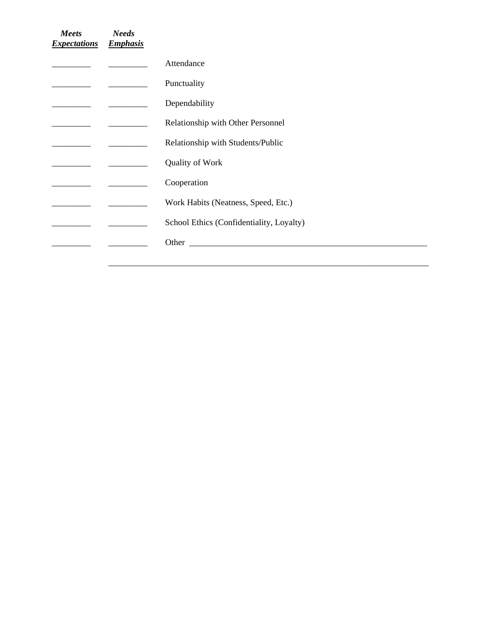| Meets<br><b>Expectations</b> | <b>Needs</b><br><b>Emphasis</b> |                                                                                                                                                                                                                                |
|------------------------------|---------------------------------|--------------------------------------------------------------------------------------------------------------------------------------------------------------------------------------------------------------------------------|
|                              |                                 | Attendance                                                                                                                                                                                                                     |
|                              |                                 | Punctuality                                                                                                                                                                                                                    |
|                              |                                 | Dependability                                                                                                                                                                                                                  |
|                              |                                 | Relationship with Other Personnel                                                                                                                                                                                              |
|                              |                                 | Relationship with Students/Public                                                                                                                                                                                              |
|                              |                                 | Quality of Work                                                                                                                                                                                                                |
|                              |                                 | Cooperation                                                                                                                                                                                                                    |
|                              |                                 | Work Habits (Neatness, Speed, Etc.)                                                                                                                                                                                            |
|                              |                                 | School Ethics (Confidentiality, Loyalty)                                                                                                                                                                                       |
|                              |                                 | Other than the contract of the contract of the contract of the contract of the contract of the contract of the contract of the contract of the contract of the contract of the contract of the contract of the contract of the |
|                              |                                 |                                                                                                                                                                                                                                |